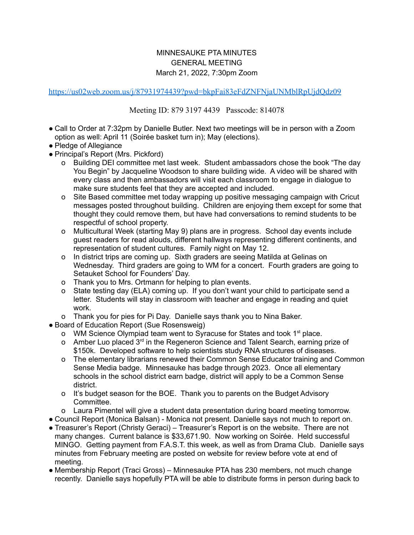## MINNESAUKE PTA MINUTES GENERAL MEETING March 21, 2022, 7:30pm Zoom

<https://us02web.zoom.us/j/87931974439?pwd=bkpFai83eFdZNFNjaUNMblRpUjdQdz09>

Meeting ID: 879 3197 4439 Passcode: 814078

- Call to Order at 7:32pm by Danielle Butler. Next two meetings will be in person with a Zoom option as well: April 11 (Soirée basket turn in); May (elections).
- Pledge of Allegiance
- Principal's Report (Mrs. Pickford)
	- Building DEI committee met last week. Student ambassadors chose the book "The day You Begin" by Jacqueline Woodson to share building wide. A video will be shared with every class and then ambassadors will visit each classroom to engage in dialogue to make sure students feel that they are accepted and included.
	- o Site Based committee met today wrapping up positive messaging campaign with Cricut messages posted throughout building. Children are enjoying them except for some that thought they could remove them, but have had conversations to remind students to be respectful of school property.
	- o Multicultural Week (starting May 9) plans are in progress. School day events include guest readers for read alouds, different hallways representing different continents, and representation of student cultures. Family night on May 12.
	- o In district trips are coming up. Sixth graders are seeing Matilda at Gelinas on Wednesday. Third graders are going to WM for a concert. Fourth graders are going to Setauket School for Founders' Day.
	- o Thank you to Mrs. Ortmann for helping to plan events.
	- o State testing day (ELA) coming up. If you don't want your child to participate send a letter. Students will stay in classroom with teacher and engage in reading and quiet work.
	- o Thank you for pies for Pi Day. Danielle says thank you to Nina Baker.
- Board of Education Report (Sue Rosensweig)
	- o WM Science Olympiad team went to Syracuse for States and took 1<sup>st</sup> place.
	- o Amber Luo placed 3<sup>rd</sup> in the Regeneron Science and Talent Search, earning prize of \$150k. Developed software to help scientists study RNA structures of diseases.
	- o The elementary librarians renewed their Common Sense Educator training and Common Sense Media badge. Minnesauke has badge through 2023. Once all elementary schools in the school district earn badge, district will apply to be a Common Sense district.
	- o It's budget season for the BOE. Thank you to parents on the Budget Advisory Committee.
	- o Laura Pimentel will give a student data presentation during board meeting tomorrow.
- Council Report (Monica Balsan) Monica not present. Danielle says not much to report on.
- Treasurer's Report (Christy Geraci) Treasurer's Report is on the website. There are not many changes. Current balance is \$33,671.90. Now working on Soirée. Held successful MINGO. Getting payment from F.A.S.T. this week, as well as from Drama Club. Danielle says minutes from February meeting are posted on website for review before vote at end of meeting.
- Membership Report (Traci Gross) Minnesauke PTA has 230 members, not much change recently. Danielle says hopefully PTA will be able to distribute forms in person during back to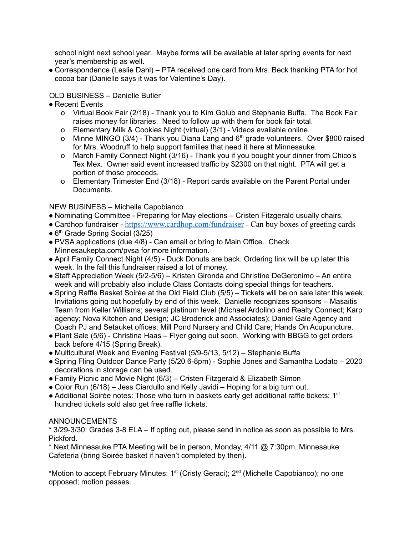school night next school year. Maybe forms will be available at later spring events for next year's membership as well.

● Correspondence (Leslie Dahl) – PTA received one card from Mrs. Beck thanking PTA for hot cocoa bar (Danielle says it was for Valentine's Day).

## OLD BUSINESS – Danielle Butler

- Recent Events
	- o Virtual Book Fair (2/18) Thank you to Kim Golub and Stephanie Buffa. The Book Fair raises money for libraries. Need to follow up with them for book fair total.
	- o Elementary Milk & Cookies Night (virtual) (3/1) Videos available online.
	- o Minne MINGO  $(3/4)$  Thank you Diana Lang and  $6<sup>th</sup>$  grade volunteers. Over \$800 raised for Mrs. Woodruff to help support families that need it here at Minnesauke.
	- o March Family Connect Night (3/16) Thank you if you bought your dinner from Chico's Tex Mex. Owner said event increased traffic by \$2300 on that night. PTA will get a portion of those proceeds.
	- o Elementary Trimester End (3/18) Report cards available on the Parent Portal under Documents.

## NEW BUSINESS – Michelle Capobianco

- Nominating Committee Preparing for May elections Cristen Fitzgerald usually chairs.
- Cardhop fundraiser [https://www.cardhop.com/fundraiser](https://www.cardhop.com/fundraiser?fbclid=IwAR3geMq5lf8dg8WjTgUhRDzaGZAzsUNAktOIvqGfz5MNvIIJBgtezEu7FBQ) Can buy boxes of greeting cards
- 6<sup>th</sup> Grade Spring Social (3/25)
- PVSA applications (due 4/8) Can email or bring to Main Office. Check Minnesaukepta.com/pvsa for more information.
- April Family Connect Night (4/5) Duck Donuts are back. Ordering link will be up later this week. In the fall this fundraiser raised a lot of money.
- Staff Appreciation Week (5/2-5/6) Kristen Gironda and Christine DeGeronimo An entire week and will probably also include Class Contacts doing special things for teachers.
- Spring Raffle Basket Soirée at the Old Field Club (5/5) Tickets will be on sale later this week. Invitations going out hopefully by end of this week. Danielle recognizes sponsors – Masaitis Team from Keller Williams; several platinum level (Michael Ardolino and Realty Connect; Karp agency; Nova Kitchen and Design; JC Broderick and Associates); Daniel Gale Agency and Coach PJ and Setauket offices; Mill Pond Nursery and Child Care; Hands On Acupuncture.
- Plant Sale (5/6) Christina Haas Flyer going out soon. Working with BBGG to get orders back before 4/15 (Spring Break).
- Multicultural Week and Evening Festival (5/9-5/13, 5/12) Stephanie Buffa
- Spring Fling Outdoor Dance Party (5/20 6-8pm) Sophie Jones and Samantha Lodato 2020 decorations in storage can be used.
- Family Picnic and Movie Night (6/3) Cristen Fitzgerald & Elizabeth Simon
- Color Run (6/18) Jess Ciardullo and Kelly Javidi Hoping for a big turn out.
- Additional Soirée notes: Those who turn in baskets early get additional raffle tickets; 1<sup>st</sup> hundred tickets sold also get free raffle tickets.

## ANNOUNCEMENTS

\* 3/29-3/30: Grades 3-8 ELA – If opting out, please send in notice as soon as possible to Mrs. Pickford.

\* Next Minnesauke PTA Meeting will be in person, Monday, 4/11 @ 7:30pm, Minnesauke Cafeteria (bring Soirée basket if haven't completed by then).

\*Motion to accept February Minutes: 1<sup>st</sup> (Cristy Geraci); 2<sup>nd</sup> (Michelle Capobianco); no one opposed; motion passes.